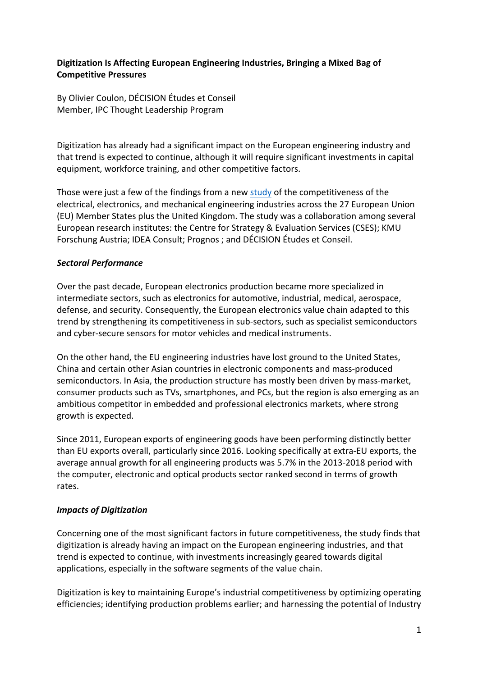## **Digitization Is Affecting European Engineering Industries, Bringing a Mixed Bag of Competitive Pressures**

By Olivier Coulon, DÉCISION Études et Conseil Member, IPC Thought Leadership Program

Digitization has already had a significant impact on the European engineering industry and that trend is expected to continue, although it will require significant investments in capital equipment, workforce training, and other competitive factors.

Those were just a few of the findings from a ne[w study](https://op.europa.eu/fr/publication-detail/-/publication/ba2f68e4-2ecb-11eb-b27b-01aa75ed71a1/language-en) of the competitiveness of the electrical, electronics, and mechanical engineering industries across the 27 European Union (EU) Member States plus the United Kingdom. The study was a collaboration among several European research institutes: the Centre for Strategy & Evaluation Services (CSES); KMU Forschung Austria; IDEA Consult; Prognos ; and DÉCISION Études et Conseil.

## *Sectoral Performance*

Over the past decade, European electronics production became more specialized in intermediate sectors, such as electronics for automotive, industrial, medical, aerospace, defense, and security. Consequently, the European electronics value chain adapted to this trend by strengthening its competitiveness in sub-sectors, such as specialist semiconductors and cyber-secure sensors for motor vehicles and medical instruments.

On the other hand, the EU engineering industries have lost ground to the United States, China and certain other Asian countries in electronic components and mass-produced semiconductors. In Asia, the production structure has mostly been driven by mass-market, consumer products such as TVs, smartphones, and PCs, but the region is also emerging as an ambitious competitor in embedded and professional electronics markets, where strong growth is expected.

Since 2011, European exports of engineering goods have been performing distinctly better than EU exports overall, particularly since 2016. Looking specifically at extra-EU exports, the average annual growth for all engineering products was 5.7% in the 2013-2018 period with the computer, electronic and optical products sector ranked second in terms of growth rates.

## *Impacts of Digitization*

Concerning one of the most significant factors in future competitiveness, the study finds that digitization is already having an impact on the European engineering industries, and that trend is expected to continue, with investments increasingly geared towards digital applications, especially in the software segments of the value chain.

Digitization is key to maintaining Europe's industrial competitiveness by optimizing operating efficiencies; identifying production problems earlier; and harnessing the potential of Industry